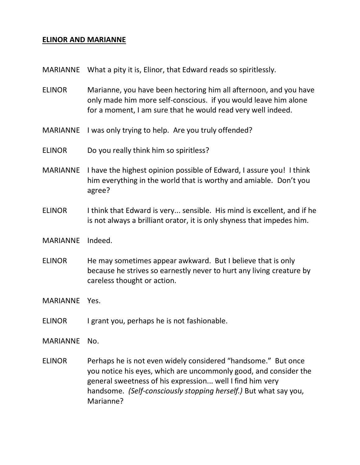## **ELINOR AND MARIANNE**

- MARIANNE What a pity it is, Elinor, that Edward reads so spiritlessly.
- ELINOR Marianne, you have been hectoring him all afternoon, and you have only made him more self-conscious. if you would leave him alone for a moment, I am sure that he would read very well indeed.
- MARIANNE I was only trying to help. Are you truly offended?
- ELINOR Do you really think him so spiritless?
- MARIANNE I have the highest opinion possible of Edward, I assure you! I think him everything in the world that is worthy and amiable. Don't you agree?
- ELINOR I think that Edward is very... sensible. His mind is excellent, and if he is not always a brilliant orator, it is only shyness that impedes him.
- MARIANNE Indeed.
- ELINOR He may sometimes appear awkward. But I believe that is only because he strives so earnestly never to hurt any living creature by careless thought or action.
- MARIANNE Yes.
- ELINOR I grant you, perhaps he is not fashionable.

MARIANNE No.

ELINOR Perhaps he is not even widely considered "handsome." But once you notice his eyes, which are uncommonly good, and consider the general sweetness of his expression... well I find him very handsome. *(Self-consciously stopping herself.)* But what say you, Marianne?